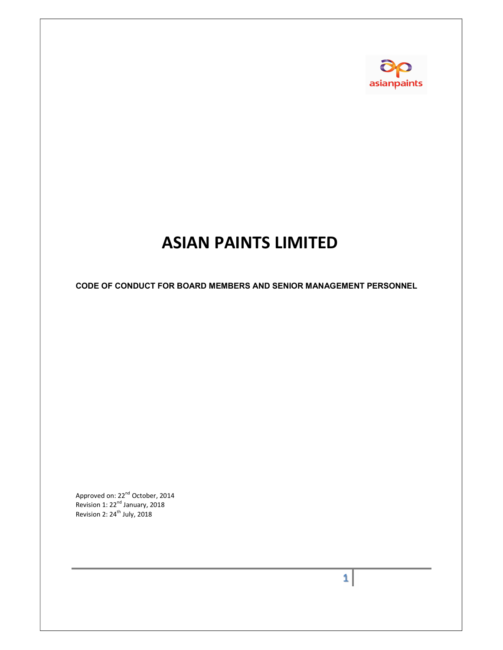

# ASIAN PAINTS LIMITED

CODE OF CONDUCT FOR BOARD MEMBERS AND SENIOR MANAGEMENT PERSONNEL

Approved on: 22<sup>nd</sup> October, 2014 Revision 1:  $22<sup>nd</sup>$  January, 2018 Revision 2: 24<sup>th</sup> July, 2018

 $1<sup>1</sup>$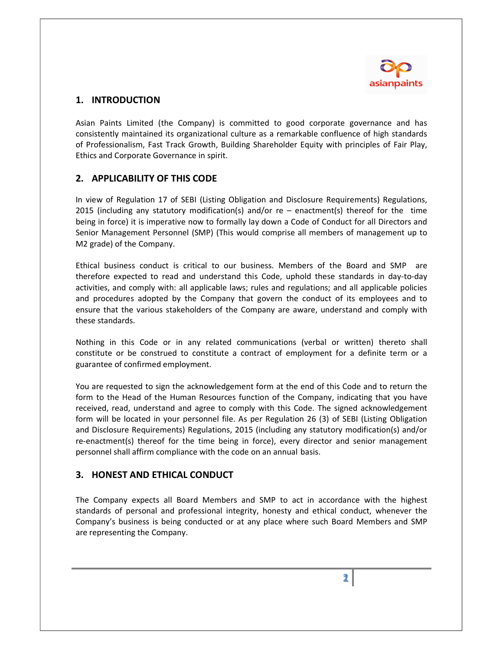

## 1. INTRODUCTION

Asian Paints Limited (the Company) is committed to good corporate governance and has consistently maintained its organizational culture as a remarkable confluence of high standards of Professionalism, Fast Track Growth, Building Shareholder Equity with principles of Fair Play, Ethics and Corporate Governance in spirit.

## 2. APPLICABILITY OF THIS CODE

In view of Regulation 17 of SEBI (Listing Obligation and Disclosure Requirements) Regulations, 2015 (including any statutory modification(s) and/or re – enactment(s) thereof for the time being in force) it is imperative now to formally lay down a Code of Conduct for all Directors and Senior Management Personnel (SMP) (This would comprise all members of management up to M2 grade) of the Company.

Ethical business conduct is critical to our business. Members of the Board and SMP are therefore expected to read and understand this Code, uphold these standards in day-to-day activities, and comply with: all applicable laws; rules and regulations; and all applicable policies and procedures adopted by the Company that govern the conduct of its employees and to ensure that the various stakeholders of the Company are aware, understand and comply with these standards.

Nothing in this Code or in any related communications (verbal or written) thereto shall constitute or be construed to constitute a contract of employment for a definite term or a guarantee of confirmed employment.

You are requested to sign the acknowledgement form at the end of this Code and to return the form to the Head of the Human Resources function of the Company, indicating that you have received, read, understand and agree to comply with this Code. The signed acknowledgement form will be located in your personnel file. As per Regulation 26 (3) of SEBI (Listing Obligation and Disclosure Requirements) Regulations, 2015 (including any statutory modification(s) and/or re-enactment(s) thereof for the time being in force), every director and senior management personnel shall affirm compliance with the code on an annual basis.

## 3. HONEST AND ETHICAL CONDUCT

The Company expects all Board Members and SMP to act in accordance with the highest standards of personal and professional integrity, honesty and ethical conduct, whenever the Company's business is being conducted or at any place where such Board Members and SMP are representing the Company.

 $\mathbf{2}$  |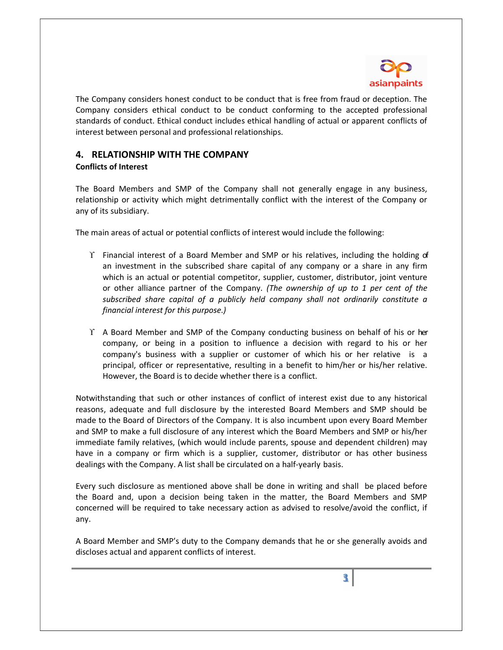

The Company considers honest conduct to be conduct that is free from fraud or deception. The Company considers ethical conduct to be conduct conforming to the accepted professional standards of conduct. Ethical conduct includes ethical handling of actual or apparent conflicts of interest between personal and professional relationships.

## 4. RELATIONSHIP WITH THE COMPANY

#### Conflicts of Interest

The Board Members and SMP of the Company shall not generally engage in any business, relationship or activity which might detrimentally conflict with the interest of the Company or any of its subsidiary.

The main areas of actual or potential conflicts of interest would include the following:

- $\Upsilon$  Financial interest of a Board Member and SMP or his relatives, including the holding of an investment in the subscribed share capital of any company or a share in any firm which is an actual or potential competitor, supplier, customer, distributor, joint venture or other alliance partner of the Company. (The ownership of up to 1 per cent of the subscribed share capital of a publicly held company shall not ordinarily constitute a financial interest for this purpose.)
- $\Upsilon$  A Board Member and SMP of the Company conducting business on behalf of his or her company, or being in a position to influence a decision with regard to his or her company's business with a supplier or customer of which his or her relative is a principal, officer or representative, resulting in a benefit to him/her or his/her relative. However, the Board is to decide whether there is a conflict.

Notwithstanding that such or other instances of conflict of interest exist due to any historical reasons, adequate and full disclosure by the interested Board Members and SMP should be made to the Board of Directors of the Company. It is also incumbent upon every Board Member and SMP to make a full disclosure of any interest which the Board Members and SMP or his/her immediate family relatives, (which would include parents, spouse and dependent children) may have in a company or firm which is a supplier, customer, distributor or has other business dealings with the Company. A list shall be circulated on a half-yearly basis.

Every such disclosure as mentioned above shall be done in writing and shall be placed before the Board and, upon a decision being taken in the matter, the Board Members and SMP concerned will be required to take necessary action as advised to resolve/avoid the conflict, if any.

A Board Member and SMP's duty to the Company demands that he or she generally avoids and discloses actual and apparent conflicts of interest.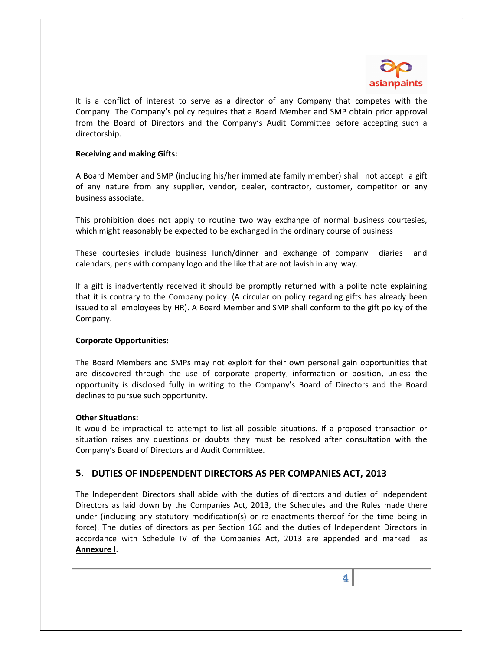

It is a conflict of interest to serve as a director of any Company that competes with the Company. The Company's policy requires that a Board Member and SMP obtain prior approval from the Board of Directors and the Company's Audit Committee before accepting such a directorship.

#### Receiving and making Gifts:

A Board Member and SMP (including his/her immediate family member) shall not accept a gift of any nature from any supplier, vendor, dealer, contractor, customer, competitor or any business associate.

This prohibition does not apply to routine two way exchange of normal business courtesies, which might reasonably be expected to be exchanged in the ordinary course of business

These courtesies include business lunch/dinner and exchange of company diaries and calendars, pens with company logo and the like that are not lavish in any way.

If a gift is inadvertently received it should be promptly returned with a polite note explaining that it is contrary to the Company policy. (A circular on policy regarding gifts has already been issued to all employees by HR). A Board Member and SMP shall conform to the gift policy of the Company.

#### Corporate Opportunities:

The Board Members and SMPs may not exploit for their own personal gain opportunities that are discovered through the use of corporate property, information or position, unless the opportunity is disclosed fully in writing to the Company's Board of Directors and the Board declines to pursue such opportunity.

#### Other Situations:

It would be impractical to attempt to list all possible situations. If a proposed transaction or situation raises any questions or doubts they must be resolved after consultation with the Company's Board of Directors and Audit Committee.

## 5. DUTIES OF INDEPENDENT DIRECTORS AS PER COMPANIES ACT, 2013

The Independent Directors shall abide with the duties of directors and duties of Independent Directors as laid down by the Companies Act, 2013, the Schedules and the Rules made there under (including any statutory modification(s) or re-enactments thereof for the time being in force). The duties of directors as per Section 166 and the duties of Independent Directors in accordance with Schedule IV of the Companies Act, 2013 are appended and marked as Annexure I.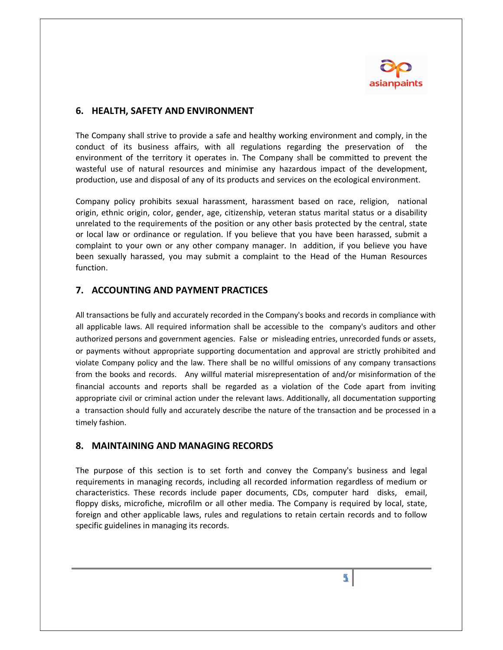

## 6. HEALTH, SAFETY AND ENVIRONMENT

The Company shall strive to provide a safe and healthy working environment and comply, in the conduct of its business affairs, with all regulations regarding the preservation of the environment of the territory it operates in. The Company shall be committed to prevent the wasteful use of natural resources and minimise any hazardous impact of the development, production, use and disposal of any of its products and services on the ecological environment.

Company policy prohibits sexual harassment, harassment based on race, religion, national origin, ethnic origin, color, gender, age, citizenship, veteran status marital status or a disability unrelated to the requirements of the position or any other basis protected by the central, state or local law or ordinance or regulation. If you believe that you have been harassed, submit a complaint to your own or any other company manager. In addition, if you believe you have been sexually harassed, you may submit a complaint to the Head of the Human Resources function.

## 7. ACCOUNTING AND PAYMENT PRACTICES

All transactions be fully and accurately recorded in the Company's books and records in compliance with all applicable laws. All required information shall be accessible to the company's auditors and other authorized persons and government agencies. False or misleading entries, unrecorded funds or assets, or payments without appropriate supporting documentation and approval are strictly prohibited and violate Company policy and the law. There shall be no willful omissions of any company transactions from the books and records. Any willful material misrepresentation of and/or misinformation of the financial accounts and reports shall be regarded as a violation of the Code apart from inviting appropriate civil or criminal action under the relevant laws. Additionally, all documentation supporting a transaction should fully and accurately describe the nature of the transaction and be processed in a timely fashion.

## 8. MAINTAINING AND MANAGING RECORDS

The purpose of this section is to set forth and convey the Company's business and legal requirements in managing records, including all recorded information regardless of medium or characteristics. These records include paper documents, CDs, computer hard disks, email, floppy disks, microfiche, microfilm or all other media. The Company is required by local, state, foreign and other applicable laws, rules and regulations to retain certain records and to follow specific guidelines in managing its records.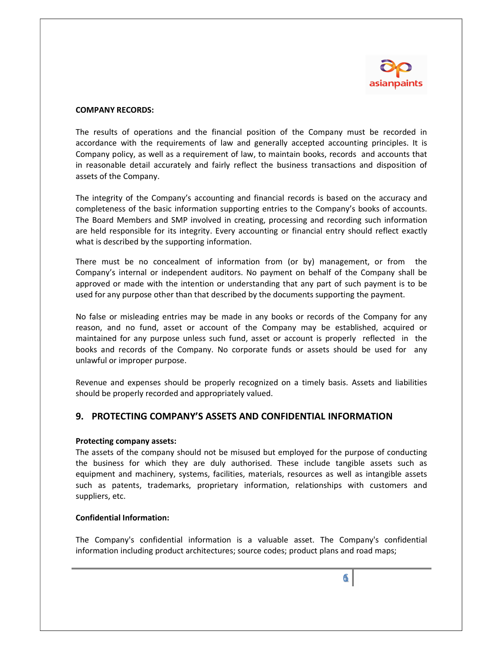

#### COMPANY RECORDS:

The results of operations and the financial position of the Company must be recorded in accordance with the requirements of law and generally accepted accounting principles. It is Company policy, as well as a requirement of law, to maintain books, records and accounts that in reasonable detail accurately and fairly reflect the business transactions and disposition of assets of the Company.

The integrity of the Company's accounting and financial records is based on the accuracy and completeness of the basic information supporting entries to the Company's books of accounts. The Board Members and SMP involved in creating, processing and recording such information are held responsible for its integrity. Every accounting or financial entry should reflect exactly what is described by the supporting information.

There must be no concealment of information from (or by) management, or from the Company's internal or independent auditors. No payment on behalf of the Company shall be approved or made with the intention or understanding that any part of such payment is to be used for any purpose other than that described by the documents supporting the payment.

No false or misleading entries may be made in any books or records of the Company for any reason, and no fund, asset or account of the Company may be established, acquired or maintained for any purpose unless such fund, asset or account is properly reflected in the books and records of the Company. No corporate funds or assets should be used for any unlawful or improper purpose.

Revenue and expenses should be properly recognized on a timely basis. Assets and liabilities should be properly recorded and appropriately valued.

## 9. PROTECTING COMPANY'S ASSETS AND CONFIDENTIAL INFORMATION

#### Protecting company assets:

The assets of the company should not be misused but employed for the purpose of conducting the business for which they are duly authorised. These include tangible assets such as equipment and machinery, systems, facilities, materials, resources as well as intangible assets such as patents, trademarks, proprietary information, relationships with customers and suppliers, etc.

#### Confidential Information:

The Company's confidential information is a valuable asset. The Company's confidential information including product architectures; source codes; product plans and road maps;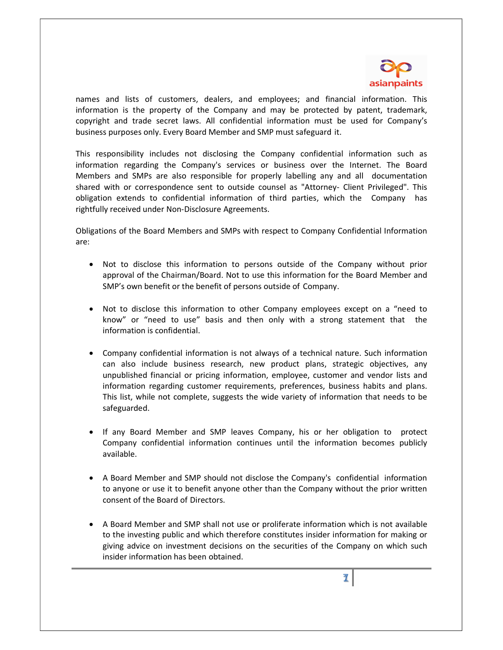

names and lists of customers, dealers, and employees; and financial information. This information is the property of the Company and may be protected by patent, trademark, copyright and trade secret laws. All confidential information must be used for Company's business purposes only. Every Board Member and SMP must safeguard it.

This responsibility includes not disclosing the Company confidential information such as information regarding the Company's services or business over the Internet. The Board Members and SMPs are also responsible for properly labelling any and all documentation shared with or correspondence sent to outside counsel as "Attorney- Client Privileged". This obligation extends to confidential information of third parties, which the Company has rightfully received under Non-Disclosure Agreements.

Obligations of the Board Members and SMPs with respect to Company Confidential Information are:

- Not to disclose this information to persons outside of the Company without prior approval of the Chairman/Board. Not to use this information for the Board Member and SMP's own benefit or the benefit of persons outside of Company.
- Not to disclose this information to other Company employees except on a "need to know" or "need to use" basis and then only with a strong statement that the information is confidential.
- Company confidential information is not always of a technical nature. Such information can also include business research, new product plans, strategic objectives, any unpublished financial or pricing information, employee, customer and vendor lists and information regarding customer requirements, preferences, business habits and plans. This list, while not complete, suggests the wide variety of information that needs to be safeguarded.
- If any Board Member and SMP leaves Company, his or her obligation to protect Company confidential information continues until the information becomes publicly available.
- A Board Member and SMP should not disclose the Company's confidential information to anyone or use it to benefit anyone other than the Company without the prior written consent of the Board of Directors.
- A Board Member and SMP shall not use or proliferate information which is not available to the investing public and which therefore constitutes insider information for making or giving advice on investment decisions on the securities of the Company on which such insider information has been obtained.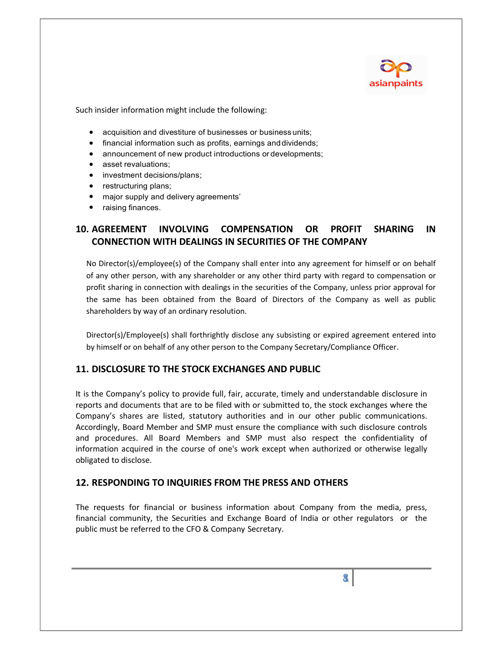

Such insider information might include the following:

- acquisition and divestiture of businesses or business units;
- financial information such as profits, earnings and dividends;
- announcement of new product introductions or developments;
- asset revaluations;
- investment decisions/plans;
- restructuring plans;
- major supply and delivery agreements'
- raising finances.

## 10. AGREEMENT INVOLVING COMPENSATION OR PROFIT SHARING IN CONNECTION WITH DEALINGS IN SECURITIES OF THE COMPANY

No Director(s)/employee(s) of the Company shall enter into any agreement for himself or on behalf of any other person, with any shareholder or any other third party with regard to compensation or profit sharing in connection with dealings in the securities of the Company, unless prior approval for the same has been obtained from the Board of Directors of the Company as well as public shareholders by way of an ordinary resolution.

Director(s)/Employee(s) shall forthrightly disclose any subsisting or expired agreement entered into by himself or on behalf of any other person to the Company Secretary/Compliance Officer.

## 11. DISCLOSURE TO THE STOCK EXCHANGES AND PUBLIC

It is the Company's policy to provide full, fair, accurate, timely and understandable disclosure in reports and documents that are to be filed with or submitted to, the stock exchanges where the Company's shares are listed, statutory authorities and in our other public communications. Accordingly, Board Member and SMP must ensure the compliance with such disclosure controls and procedures. All Board Members and SMP must also respect the confidentiality of information acquired in the course of one's work except when authorized or otherwise legally obligated to disclose.

## 12. RESPONDING TO INQUIRIES FROM THE PRESS AND OTHERS

The requests for financial or business information about Company from the media, press, financial community, the Securities and Exchange Board of India or other regulators or the public must be referred to the CFO & Company Secretary.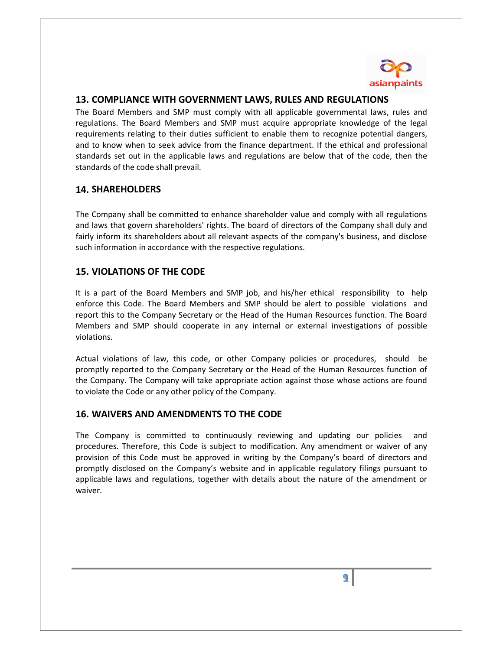

### 13. COMPLIANCE WITH GOVERNMENT LAWS, RULES AND REGULATIONS

The Board Members and SMP must comply with all applicable governmental laws, rules and regulations. The Board Members and SMP must acquire appropriate knowledge of the legal requirements relating to their duties sufficient to enable them to recognize potential dangers, and to know when to seek advice from the finance department. If the ethical and professional standards set out in the applicable laws and regulations are below that of the code, then the standards of the code shall prevail.

## 14. SHAREHOLDERS

The Company shall be committed to enhance shareholder value and comply with all regulations and laws that govern shareholders' rights. The board of directors of the Company shall duly and fairly inform its shareholders about all relevant aspects of the company's business, and disclose such information in accordance with the respective regulations.

## 15. VIOLATIONS OF THE CODE

It is a part of the Board Members and SMP job, and his/her ethical responsibility to help enforce this Code. The Board Members and SMP should be alert to possible violations and report this to the Company Secretary or the Head of the Human Resources function. The Board Members and SMP should cooperate in any internal or external investigations of possible violations.

Actual violations of law, this code, or other Company policies or procedures, should be promptly reported to the Company Secretary or the Head of the Human Resources function of the Company. The Company will take appropriate action against those whose actions are found to violate the Code or any other policy of the Company.

## 16. WAIVERS AND AMENDMENTS TO THE CODE

The Company is committed to continuously reviewing and updating our policies and procedures. Therefore, this Code is subject to modification. Any amendment or waiver of any provision of this Code must be approved in writing by the Company's board of directors and promptly disclosed on the Company's website and in applicable regulatory filings pursuant to applicable laws and regulations, together with details about the nature of the amendment or waiver.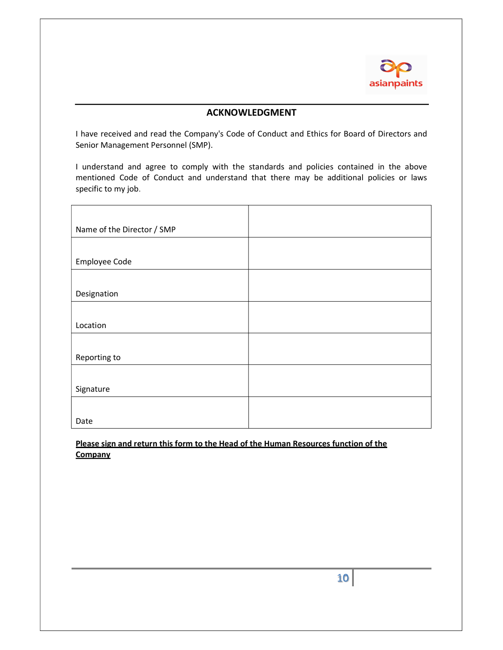

#### ACKNOWLEDGMENT

I have received and read the Company's Code of Conduct and Ethics for Board of Directors and Senior Management Personnel (SMP).

I understand and agree to comply with the standards and policies contained in the above mentioned Code of Conduct and understand that there may be additional policies or laws specific to my job.

| Name of the Director / SMP |  |
|----------------------------|--|
|                            |  |
| Employee Code              |  |
|                            |  |
| Designation                |  |
|                            |  |
| Location                   |  |
|                            |  |
| Reporting to               |  |
|                            |  |
| Signature                  |  |
|                            |  |
| Date                       |  |

Please sign and return this form to the Head of the Human Resources function of the **Company**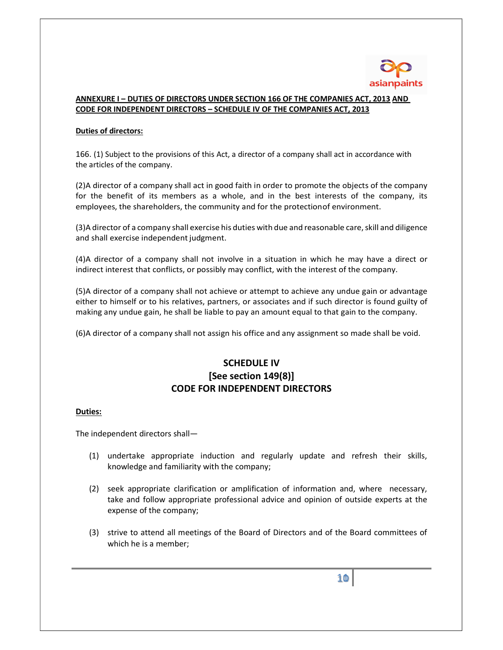

#### ANNEXURE I – DUTIES OF DIRECTORS UNDER SECTION 166 OF THE COMPANIES ACT, 2013 AND CODE FOR INDEPENDENT DIRECTORS – SCHEDULE IV OF THE COMPANIES ACT, 2013

#### Duties of directors:

166. (1) Subject to the provisions of this Act, a director of a company shall act in accordance with the articles of the company.

(2)A director of a company shall act in good faith in order to promote the objects of the company for the benefit of its members as a whole, and in the best interests of the company, its employees, the shareholders, the community and for the protection of environment.

(3)A director of a company shall exercise his duties with due and reasonable care, skill and diligence and shall exercise independent judgment.

(4)A director of a company shall not involve in a situation in which he may have a direct or indirect interest that conflicts, or possibly may conflict, with the interest of the company.

(5)A director of a company shall not achieve or attempt to achieve any undue gain or advantage either to himself or to his relatives, partners, or associates and if such director is found guilty of making any undue gain, he shall be liable to pay an amount equal to that gain to the company.

(6)A director of a company shall not assign his office and any assignment so made shall be void.

# SCHEDULE IV [See section 149(8)] CODE FOR INDEPENDENT DIRECTORS

#### Duties:

The independent directors shall—

- (1) undertake appropriate induction and regularly update and refresh their skills, knowledge and familiarity with the company;
- (2) seek appropriate clarification or amplification of information and, where necessary, take and follow appropriate professional advice and opinion of outside experts at the expense of the company;
- (3) strive to attend all meetings of the Board of Directors and of the Board committees of which he is a member;